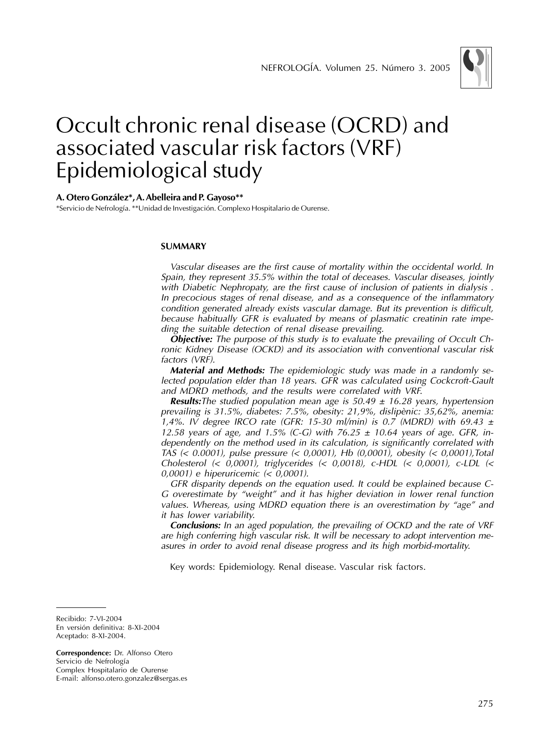

## Occult chronic renal disease (OCRD) and associated vascular risk factors (VRF) Epidemiological study

## **A. Otero González\*, A. Abelleira and P. Gayoso\*\***

\*Servicio de Nefrología. \*\*Unidad de Investigación. Complexo Hospitalario de Ourense.

### **SUMMARY**

Vascular diseases are the first cause of mortality within the occidental world. In Spain, they represent 35.5% within the total of deceases. Vascular diseases, jointly with Diabetic Nephropaty, are the first cause of inclusion of patients in dialysis . In precocious stages of renal disease, and as a consequence of the inflammatory condition generated already exists vascular damage. But its prevention is difficult, because habitually GFR is evaluated by means of plasmatic creatinin rate impeding the suitable detection of renal disease prevailing.

**Objective:** The purpose of this study is to evaluate the prevailing of Occult Chronic Kidney Disease (OCKD) and its association with conventional vascular risk factors (VRF).

**Material and Methods:** The epidemiologic study was made in a randomly selected population elder than 18 years. GFR was calculated using Cockcroft-Gault and MDRD methods, and the results were correlated with VRF.

**Results:**The studied population mean age is  $50.49 \pm 16.28$  years, hypertension prevailing is 31.5%, diabetes: 7.5%, obesity: 21,9%, dislipènic: 35,62%, anemia: 1,4%. IV degree IRCO rate (GFR: 15-30 ml/min) is 0.7 (MDRD) with 69.43  $\pm$ 12.58 years of age, and 1.5% (C-G) with 76.25  $\pm$  10.64 years of age. GFR, independently on the method used in its calculation, is significantly correlated with TAS (< 0.0001), pulse pressure (< 0,0001), Hb (0,0001), obesity (< 0,0001),Total Cholesterol  $\left( \langle 0.0001 \rangle \right)$ , triglycerides  $\left( \langle 0.0018 \rangle \right)$ , c-HDL  $\left( \langle 0.0001 \rangle \right)$ , c-LDL  $\left( \langle 0.0001 \rangle \right)$ 0,0001) e hiperuricemic (< 0,0001).

GFR disparity depends on the equation used. It could be explained because C-G overestimate by "weight" and it has higher deviation in lower renal function values. Whereas, using MDRD equation there is an overestimation by "age" and it has lower variability.

**Conclusions:** In an aged population, the prevailing of OCKD and the rate of VRF are high conferring high vascular risk. It will be necessary to adopt intervention measures in order to avoid renal disease progress and its high morbid-mortality.

Key words: Epidemiology. Renal disease. Vascular risk factors.

Recibido: 7-VI-2004 En versión definitiva: 8-XI-2004 Aceptado: 8-XI-2004.

**Correspondence:** Dr. Alfonso Otero Servicio de Nefrología Complex Hospitalario de Ourense E-mail: alfonso.otero.gonzalez@sergas.es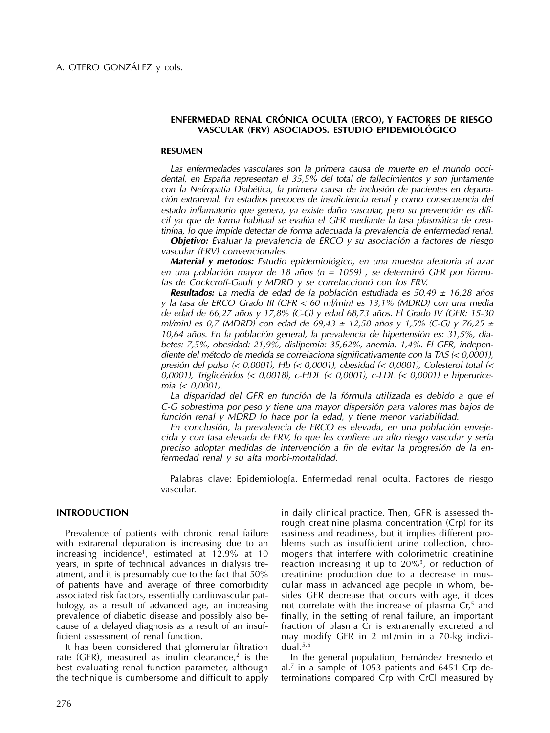## **ENFERMEDAD RENAL CRÓNICA OCULTA (ERCO), Y FACTORES DE RIESGO VASCULAR (FRV) ASOCIADOS. ESTUDIO EPIDEMIOLÓGICO**

### **RESUMEN**

Las enfermedades vasculares son la primera causa de muerte en el mundo occidental, en España representan el 35,5% del total de fallecimientos y son juntamente con la Nefropatía Diabética, la primera causa de inclusión de pacientes en depuración extrarenal. En estadios precoces de insuficiencia renal y como consecuencia del estado inflamatorio que genera, ya existe daño vascular, pero su prevención es difícil ya que de forma habitual se evalúa el GFR mediante la tasa plasmática de creatinina, lo que impide detectar de forma adecuada la prevalencia de enfermedad renal.

**Objetivo:** Evaluar la prevalencia de ERCO y su asociación a factores de riesgo vascular (FRV) convencionales.

**Material y metodos:** Estudio epidemiológico, en una muestra aleatoria al azar en una población mayor de 18 años ( $n = 1059$ ), se determinó GFR por fórmulas de Cockcroff-Gault y MDRD y se correlaccionó con los FRV.

**Resultados:** La media de edad de la población estudiada es 50,49 ± 16,28 años y la tasa de ERCO Grado III (GFR < 60 ml/min) es 13,1% (MDRD) con una media de edad de 66,27 años y 17,8% (C-G) y edad 68,73 años. El Grado IV (GFR: 15-30 ml/min) es 0,7 (MDRD) con edad de 69,43  $\pm$  12,58 años y 1,5% (C-G) y 76,25  $\pm$ 10,64 años. En la población general, la prevalencia de hipertensión es: 31,5%, diabetes: 7,5%, obesidad: 21,9%, dislipemia: 35,62%, anemia: 1,4%. El GFR, independiente del método de medida se correlaciona significativamente con la TAS (< 0,0001), presión del pulso (< 0,0001), Hb (< 0,0001), obesidad (< 0,0001), Colesterol total (< 0,0001), Triglicéridos (< 0,0018), c-HDL (< 0,0001), c-LDL (< 0,0001) e hiperuricemia (< 0,0001).

La disparidad del GFR en función de la fórmula utilizada es debido a que el C-G sobrestima por peso y tiene una mayor dispersión para valores mas bajos de función renal y MDRD lo hace por la edad, y tiene menor variabilidad.

En conclusión, la prevalencia de ERCO es elevada, en una población envejecida y con tasa elevada de FRV, lo que les confiere un alto riesgo vascular y sería preciso adoptar medidas de intervención a fin de evitar la progresión de la enfermedad renal y su alta morbi-mortalidad.

Palabras clave: Epidemiología. Enfermedad renal oculta. Factores de riesgo vascular.

### **INTRODUCTION**

Prevalence of patients with chronic renal failure with extrarenal depuration is increasing due to an increasing incidence<sup>1</sup>, estimated at 12.9% at 10 years, in spite of technical advances in dialysis treatment, and it is presumably due to the fact that 50% of patients have and average of three comorbidity associated risk factors, essentially cardiovascular pathology, as a result of advanced age, an increasing prevalence of diabetic disease and possibly also because of a delayed diagnosis as a result of an insufficient assessment of renal function.

It has been considered that glomerular filtration rate (GFR), measured as inulin clearance,<sup>2</sup> is the best evaluating renal function parameter, although the technique is cumbersome and difficult to apply in daily clinical practice. Then, GFR is assessed through creatinine plasma concentration (Crp) for its easiness and readiness, but it implies different problems such as insufficient urine collection, chromogens that interfere with colorimetric creatinine reaction increasing it up to  $20\%$ <sup>3</sup>, or reduction of creatinine production due to a decrease in muscular mass in advanced age people in whom, besides GFR decrease that occurs with age, it does not correlate with the increase of plasma  $Cr<sup>5</sup>$  and finally, in the setting of renal failure, an important fraction of plasma Cr is extrarenally excreted and may modify GFR in 2 mL/min in a 70-kg individual.5,6

In the general population, Fernández Fresnedo et al.<sup>7</sup> in a sample of 1053 patients and 6451 Crp determinations compared Crp with CrCl measured by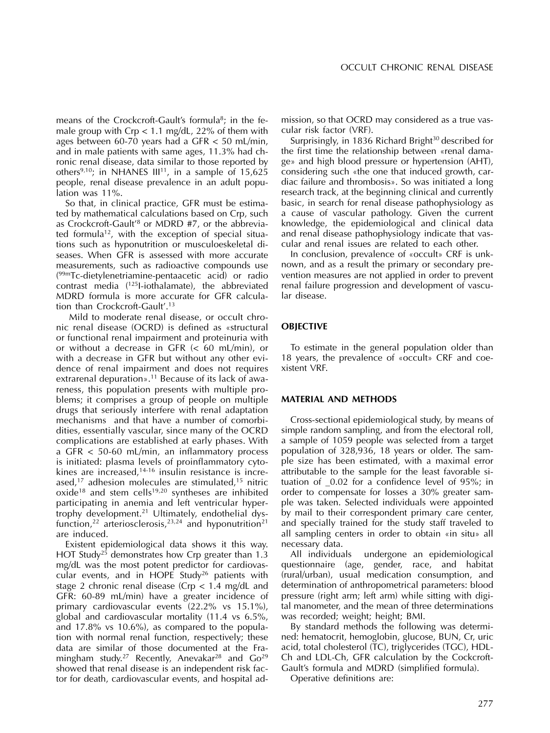means of the Crockcroft-Gault's formula<sup>8</sup>; in the female group with Crp  $< 1.1$  mg/dL, 22% of them with ages between 60-70 years had a GFR < 50 mL/min, and in male patients with same ages, 11.3% had chronic renal disease, data similar to those reported by others<sup>9,10</sup>; in NHANES III<sup>11</sup>, in a sample of  $15,625$ people, renal disease prevalence in an adult population was 11%.

So that, in clinical practice, GFR must be estimated by mathematical calculations based on Crp, such as Crockcroft-Gault<sup>'8</sup> or MDRD #7, or the abbreviated formula<sup>12</sup>, with the exception of special situations such as hyponutrition or musculoeskeletal diseases. When GFR is assessed with more accurate measurements, such as radioactive compounds use ( 99mTc-dietylenetriamine-pentaacetic acid) or radio contrast media (<sup>125</sup>I-iothalamate), the abbreviated MDRD formula is more accurate for GFR calculation than Crockcroft-Gault'.<sup>13</sup>

Mild to moderate renal disease, or occult chronic renal disease (OCRD) is defined as «structural or functional renal impairment and proteinuria with or without a decrease in GFR (< 60 mL/min), or with a decrease in GFR but without any other evidence of renal impairment and does not requires extrarenal depuration».<sup>11</sup> Because of its lack of awareness, this population presents with multiple problems; it comprises a group of people on multiple drugs that seriously interfere with renal adaptation mechanisms and that have a number of comorbidities, essentially vascular, since many of the OCRD complications are established at early phases. With a GFR < 50-60 mL/min, an inflammatory process is initiated: plasma levels of proinflammatory cytokines are increased, $14-16$  insulin resistance is increased,<sup>17</sup> adhesion molecules are stimulated,<sup>15</sup> nitric  $oxide^{18}$  and stem cells<sup>19,20</sup> syntheses are inhibited participating in anemia and left ventricular hypertrophy development.<sup>21</sup> Ultimately, endothelial dysfunction,<sup>22</sup> arteriosclerosis,<sup>23,24</sup> and hyponutrition<sup>21</sup> are induced.

Existent epidemiological data shows it this way. HOT Study<sup>25</sup> demonstrates how Crp greater than 1.3 mg/dL was the most potent predictor for cardiovascular events, and in HOPE Study<sup>26</sup> patients with stage 2 chronic renal disease (Crp < 1.4 mg/dL and GFR: 60-89 mL/min) have a greater incidence of primary cardiovascular events (22.2% vs 15.1%), global and cardiovascular mortality (11.4 vs 6.5%, and 17.8% vs 10.6%), as compared to the population with normal renal function, respectively; these data are similar of those documented at the Framingham study.<sup>27</sup> Recently, Anevakar<sup>28</sup> and  $Go<sup>29</sup>$ showed that renal disease is an independent risk factor for death, cardiovascular events, and hospital ad-

mission, so that OCRD may considered as a true vascular risk factor (VRF).

Surprisingly, in 1836 Richard Bright<sup>30</sup> described for the first time the relationship between «renal damage» and high blood pressure or hypertension (AHT), considering such «the one that induced growth, cardiac failure and thrombosis». So was initiated a long research track, at the beginning clinical and currently basic, in search for renal disease pathophysiology as a cause of vascular pathology. Given the current knowledge, the epidemiological and clinical data and renal disease pathophysiology indicate that vascular and renal issues are related to each other.

In conclusion, prevalence of «occult» CRF is unknown, and as a result the primary or secondary prevention measures are not applied in order to prevent renal failure progression and development of vascular disease.

## **OBJECTIVE**

To estimate in the general population older than 18 years, the prevalence of «occult» CRF and coexistent VRF.

### **MATERIAL AND METHODS**

Cross-sectional epidemiological study, by means of simple random sampling, and from the electoral roll, a sample of 1059 people was selected from a target population of 328,936, 18 years or older. The sample size has been estimated, with a maximal error attributable to the sample for the least favorable situation of \_0.02 for a confidence level of 95%; in order to compensate for losses a 30% greater sample was taken. Selected individuals were appointed by mail to their correspondent primary care center, and specially trained for the study staff traveled to all sampling centers in order to obtain «in situ» all necessary data.

All individuals undergone an epidemiological questionnaire (age, gender, race, and habitat (rural/urban), usual medication consumption, and determination of anthropometrical parameters: blood pressure (right arm; left arm) while sitting with digital manometer, and the mean of three determinations was recorded; weight; height; BMI.

By standard methods the following was determined: hematocrit, hemoglobin, glucose, BUN, Cr, uric acid, total cholesterol (TC), triglycerides (TGC), HDL-Ch and LDL-Ch, GFR calculation by the Cockcroft-Gault's formula and MDRD (simplified formula).

Operative definitions are: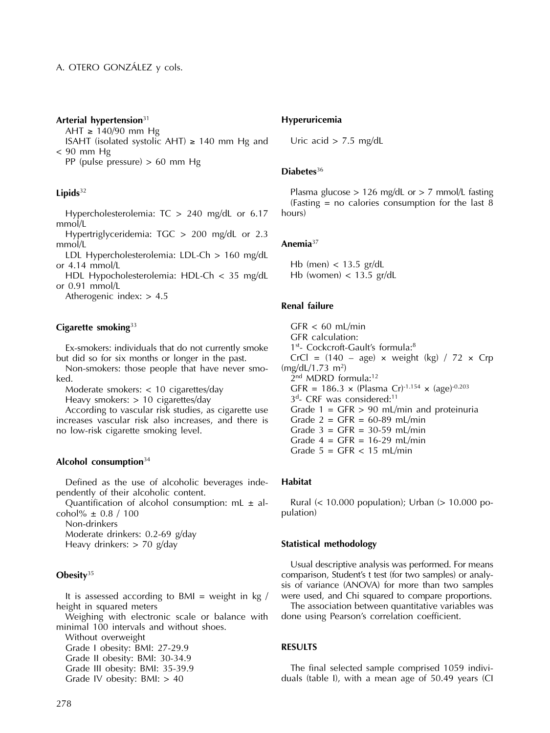### **Arterial hypertension**<sup>31</sup>

AHT  $\geq$  140/90 mm Hg ISAHT (isolated systolic AHT)  $\geq$  140 mm Hg and < 90 mm Hg

PP (pulse pressure) > 60 mm Hg

### **Lipids**<sup>32</sup>

Hypercholesterolemia: TC > 240 mg/dL or 6.17 mmol/L

Hypertriglyceridemia: TGC > 200 mg/dL or 2.3 mmol/L

LDL Hypercholesterolemia: LDL-Ch > 160 mg/dL or 4.14 mmol/L

HDL Hypocholesterolemia: HDL-Ch < 35 mg/dL or 0.91 mmol/L

Atherogenic index: > 4.5

## **Cigarette smoking**<sup>33</sup>

Ex-smokers: individuals that do not currently smoke but did so for six months or longer in the past.

Non-smokers: those people that have never smoked.

Moderate smokers: < 10 cigarettes/day

Heavy smokers: > 10 cigarettes/day

According to vascular risk studies, as cigarette use increases vascular risk also increases, and there is no low-risk cigarette smoking level.

### **Alcohol consumption**<sup>34</sup>

Defined as the use of alcoholic beverages independently of their alcoholic content.

Quantification of alcohol consumption:  $mL \pm al$ cohol%  $\pm$  0.8 / 100

Non-drinkers

Moderate drinkers: 0.2-69 g/day Heavy drinkers: > 70 g/day

## **Obesity**<sup>35</sup>

It is assessed according to BMI = weight in  $kg /$ height in squared meters

Weighing with electronic scale or balance with minimal 100 intervals and without shoes.

Without overweight

Grade I obesity: BMI: 27-29.9 Grade II obesity: BMI: 30-34.9

Grade III obesity: BMI: 35-39.9

Grade IV obesity: BMI: > 40

# **Hyperuricemia**

Uric acid  $> 7.5$  mg/dL

### **Diabetes**<sup>36</sup>

Plasma glucose  $> 126$  mg/dL or  $> 7$  mmol/L fasting (Fasting = no calories consumption for the last  $\overline{8}$ hours)

## **Anemia**<sup>37</sup>

Hb (men) < 13.5 gr/dL Hb (women)  $<$  13.5 gr/dL

## **Renal failure**

 $GFR < 60$  mL/min GFR calculation: 1<sup>st</sup>- Cockcroft-Gault's formula:<sup>8</sup> CrCl =  $(140 - age) \times weight (kg) / 72 \times Crp$ (mg/dL/1.73 m<sup>2</sup>) 2 nd MDRD formula:<sup>12</sup> GFR = 186.3  $\times$  (Plasma Cr)<sup>-1.154</sup>  $\times$  (age)<sup>-0.203</sup> 3<sup>d</sup>- CRF was considered:<sup>11</sup> Grade  $1 = GFR > 90$  mL/min and proteinuria Grade  $2 = GFR = 60-89$  mL/min Grade  $3 = GFR = 30-59$  mL/min Grade  $4 = GFR = 16-29$  mL/min Grade  $5 = GFR < 15$  mL/min

## **Habitat**

Rural (< 10.000 population); Urban (> 10.000 population)

### **Statistical methodology**

Usual descriptive analysis was performed. For means comparison, Student's t test (for two samples) or analysis of variance (ANOVA) for more than two samples were used, and Chi squared to compare proportions.

The association between quantitative variables was done using Pearson's correlation coefficient.

## **RESULTS**

The final selected sample comprised 1059 individuals (table I), with a mean age of 50.49 years (CI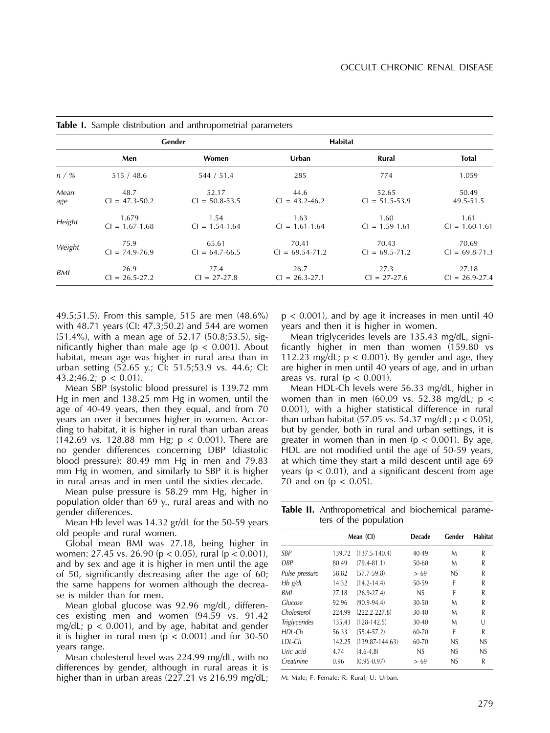|        |                    | Gender             | <b>Habitat</b>      |                    |                    |
|--------|--------------------|--------------------|---------------------|--------------------|--------------------|
|        | Men                | <b>Women</b>       | Urban               | Rural              | <b>Total</b>       |
| n / %  | 515/48.6           | 544 / 51.4         | 285                 | 774                | 1.059              |
| Mean   | 48.7               | 52.17              | 44.6                | 52.65              | 50.49              |
| age    | $Cl = 47.3 - 50.2$ | $Cl = 50.8 - 53.5$ | $Cl = 43.2 - 46.2$  | $Cl = 51.5 - 53.9$ | 49.5-51.5          |
| Height | 1.679              | 1.54               | 1.63                | 1.60               | 1.61               |
|        | $Cl = 1.67 - 1.68$ | $Cl = 1.54 - 1.64$ | $Cl = 1.61 - 1.64$  | $Cl = 1.59 - 1.61$ | $Cl = 1.60 - 1.61$ |
| Weight | 75.9               | 65.61              | 70.41               | 70.43              | 70.69              |
|        | $CI = 74.9 - 76.9$ | $Cl = 64.7 - 66.5$ | $CI = 69.54 - 71.2$ | $Cl = 69.5 - 71.2$ | $Cl = 69.8 - 71.3$ |
| BMI    | 26.9               | 27.4               | 26.7                | 27.3               | 27.18              |
|        | $Cl = 26.5 - 27.2$ | $Cl = 27 - 27.8$   | $Cl = 26.3 - 27.1$  | $Cl = 27-27.6$     | $Cl = 26.9 - 27.4$ |

**Table I.** Sample distribution and anthropometrial parameters

49.5;51.5). From this sample, 515 are men (48.6%) with 48.71 years (CI: 47.3;50.2) and 544 are women (51.4%), with a mean age of 52.17 (50.8;53.5), significantly higher than male age ( $p < 0.001$ ). About habitat, mean age was higher in rural area than in urban setting (52.65 y.; CI: 51.5;53.9 vs. 44.6; CI: 43.2;46.2;  $p < 0.01$ ).

Mean SBP (systolic blood pressure) is 139.72 mm Hg in men and 138.25 mm Hg in women, until the age of 40-49 years, then they equal, and from 70 years an over it becomes higher in women. According to habitat, it is higher in rural than urban areas (142.69 vs. 128.88 mm Hg;  $p < 0.001$ ). There are no gender differences concerning DBP (diastolic blood pressure): 80.49 mm Hg in men and 79.83 mm Hg in women, and similarly to SBP it is higher in rural areas and in men until the sixties decade.

Mean pulse pressure is 58.29 mm Hg, higher in population older than 69 y., rural areas and with no gender differences.

Mean Hb level was 14.32 gr/dL for the 50-59 years old people and rural women.

Global mean BMI was 27.18, being higher in women: 27.45 vs. 26.90 (p < 0.05), rural (p < 0.001), and by sex and age it is higher in men until the age of 50, significantly decreasing after the age of 60; the same happens for women although the decrease is milder than for men.

Mean global glucose was 92.96 mg/dL, differences existing men and women (94.59 vs. 91.42 mg/dL;  $p < 0.001$ ), and by age, habitat and gender it is higher in rural men ( $p < 0.001$ ) and for 30-50 years range.

Mean cholesterol level was 224.99 mg/dL, with no differences by gender, although in rural areas it is higher than in urban areas (227.21 vs 216.99 mg/dL;  $p < 0.001$ ), and by age it increases in men until 40 years and then it is higher in women.

Mean triglycerides levels are 135.43 mg/dL, significantly higher in men than women (159.80 vs 112.23 mg/dL;  $p < 0.001$ ). By gender and age, they are higher in men until 40 years of age, and in urban areas vs. rural ( $p < 0.001$ ).

Mean HDL-Ch levels were 56.33 mg/dL, higher in women than in men (60.09 vs. 52.38 mg/dL;  $p <$ 0.001), with a higher statistical difference in rural than urban habitat  $(57.05 \text{ vs. } 54.37 \text{ mg/dL}; p < 0.05)$ , but by gender, both in rural and urban settings, it is greater in women than in men ( $p < 0.001$ ). By age, HDL are not modified until the age of 50-59 years, at which time they start a mild descent until age 69 years ( $p < 0.01$ ), and a significant descent from age 70 and on ( $p < 0.05$ ).

**Table II.** Anthropometrical and biochemical parameters of the population

|        |                     | Decade    | Gender | <b>Habitat</b> |
|--------|---------------------|-----------|--------|----------------|
| 139.72 | $(137.5 - 140.4)$   | 40-49     | M      | R              |
| 80.49  | $(79.4 - 81.1)$     | 50-60     | M      | R              |
| 58.82  | $(57.7 - 59.8)$     | > 69      | NS     | R              |
| 14.32  | $(14.2 - 14.4)$     | 50-59     | F      | R              |
| 27.18  | $(26.9 - 27.4)$     | NS.       | F      | R              |
| 92.96  | $(90.9 - 94.4)$     | 30-50     | M      | R              |
| 224.99 | $(222.2 - 227.8)$   | 30-40     | M      | R              |
| 135.43 | $(128-142.5)$       | 30-40     | M      | U              |
| 56.33  | $(55.4 - 57.2)$     | 60-70     | F      | R              |
| 142.25 | $(139.87 - 144.63)$ | $60 - 70$ | NS     | NS             |
| 4.74   | $(4.6-4.8)$         | NS.       | NS     | NS             |
| 0.96   | $(0.95 - 0.97)$     | > 69      | NS     | R              |
|        |                     | Mean (CI) |        |                |

M: Male; F: Female; R: Rural; U: Urban.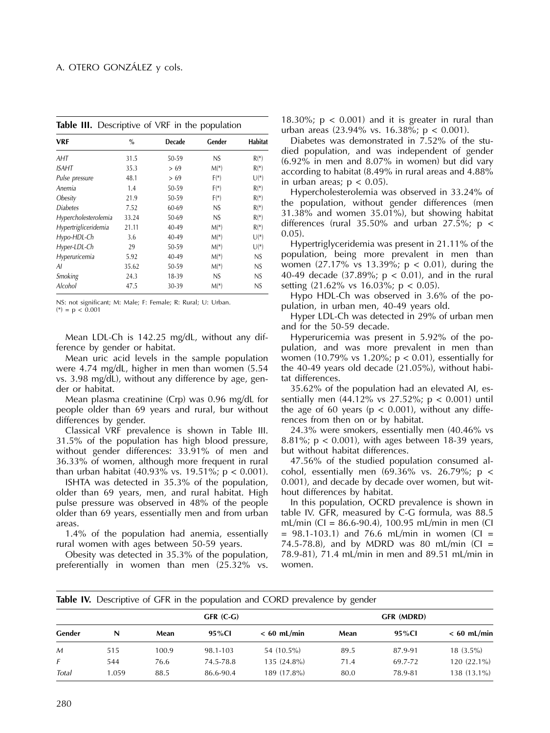| <b>VRF</b>           | $\%$  | <b>Decade</b> | Gender | Habitat |
|----------------------|-------|---------------|--------|---------|
| AHT                  | 31.5  | 50-59         | NS.    | $R(*)$  |
| ISAHT                | 35.3  | > 69          | $M(*)$ | $R(*)$  |
| Pulse pressure       | 48.1  | > 69          | $F(*)$ | $U(*)$  |
| Anemia               | 1.4   | 50-59         | $F(*)$ | $R(*)$  |
| Obesity              | 21.9  | 50-59         | $F(*)$ | $R(*)$  |
| <b>Diabetes</b>      | 7.52  | 60-69         | NS     | $R(*)$  |
| Hypercholesterolemia | 33.24 | 50-69         | NS     | $R(*)$  |
| Hypertrigliceridemia | 21.11 | 40-49         | $M(*)$ | $R(*)$  |
| Hypo-HDL-Ch          | 3.6   | 40-49         | $M(*)$ | $U(*)$  |
| Hyper-LDL-Ch         | 29    | 50-59         | $M(*)$ | $U(*)$  |
| Hyperuricemia        | 5.92  | 40-49         | $M(*)$ | NS      |
| Al                   | 35.62 | 50-59         | $M(*)$ | NS      |
| Smoking              | 24.3  | 18-39         | NS.    | NS      |
| Alcohol              | 47.5  | 30-39         | $M(*)$ | NS      |
|                      |       |               |        |         |

**Table III.** Descriptive of VRF in the population

NS: not significant; M: Male; F: Female; R: Rural; U: Urban.

 $(*) = p < 0.001$ 

Mean LDL-Ch is 142.25 mg/dL, without any difference by gender or habitat.

Mean uric acid levels in the sample population were 4.74 mg/dL, higher in men than women (5.54 vs. 3.98 mg/dL), without any difference by age, gender or habitat.

Mean plasma creatinine (Crp) was 0.96 mg/dL for people older than 69 years and rural, bur without differences by gender.

Classical VRF prevalence is shown in Table III. 31.5% of the population has high blood pressure, without gender differences: 33.91% of men and 36.33% of women, although more frequent in rural than urban habitat (40.93% vs. 19.51%; p < 0.001).

ISHTA was detected in 35.3% of the population, older than 69 years, men, and rural habitat. High pulse pressure was observed in 48% of the people older than 69 years, essentially men and from urban areas.

1.4% of the population had anemia, essentially rural women with ages between 50-59 years.

Obesity was detected in 35.3% of the population, preferentially in women than men (25.32% vs.

18.30%;  $p < 0.001$ ) and it is greater in rural than urban areas (23.94% vs. 16.38%;  $p < 0.001$ ).

Diabetes was demonstrated in 7.52% of the studied population, and was independent of gender (6.92% in men and 8.07% in women) but did vary according to habitat (8.49% in rural areas and 4.88% in urban areas;  $p < 0.05$ ).

Hypercholesterolemia was observed in 33.24% of the population, without gender differences (men 31.38% and women 35.01%), but showing habitat differences (rural 35.50% and urban 27.5%;  $p \lt$ 0.05).

Hypertriglyceridemia was present in 21.11% of the population, being more prevalent in men than women  $(27.17\% \text{ vs } 13.39\%; \text{ p } < 0.01)$ , during the 40-49 decade (37.89%;  $p < 0.01$ ), and in the rural setting (21.62% vs 16.03%; p < 0.05).

Hypo HDL-Ch was observed in 3.6% of the population, in urban men, 40-49 years old.

Hyper LDL-Ch was detected in 29% of urban men and for the 50-59 decade.

Hyperuricemia was present in 5.92% of the population, and was more prevalent in men than women (10.79% vs 1.20%;  $p < 0.01$ ), essentially for the 40-49 years old decade (21.05%), without habitat differences.

35.62% of the population had an elevated AI, essentially men  $(44.12\% \text{ vs } 27.52\%; \text{ p} < 0.001)$  until the age of 60 years ( $p < 0.001$ ), without any differences from then on or by habitat.

24.3% were smokers, essentially men (40.46% vs 8.81%;  $p < 0.001$ ), with ages between 18-39 years, but without habitat differences.

47.56% of the studied population consumed alcohol, essentially men  $(69.36\% \text{ vs. } 26.79\%;\text{ p} <$ 0.001), and decade by decade over women, but without differences by habitat.

In this population, OCRD prevalence is shown in table IV. GFR, measured by C-G formula, was 88.5 mL/min (CI = 86.6-90.4), 100.95 mL/min in men (CI  $= 98.1 - 103.1$ ) and 76.6 mL/min in women (CI = 74.5-78.8), and by MDRD was 80 mL/min (CI = 78.9-81), 71.4 mL/min in men and 89.51 mL/min in women.

|  | Table IV. Descriptive of GFR in the population and CORD prevalence by gender |
|--|------------------------------------------------------------------------------|
|--|------------------------------------------------------------------------------|

|        |       |       | GFR (C-G) |               | GFR (MDRD) |         |               |
|--------|-------|-------|-----------|---------------|------------|---------|---------------|
| Gender | N     | Mean  | 95%CI     | $< 60$ mL/min | Mean       | 95%CI   | $< 60$ mL/min |
| M      | 515   | 100.9 | 98.1-103  | 54 (10.5%)    | 89.5       | 87.9-91 | $18(3.5\%)$   |
| F      | 544   | 76.6  | 74.5-78.8 | $135(24.8\%)$ | 71.4       | 69.7-72 | 120 (22.1%)   |
| Total  | 1.059 | 88.5  | 86.6-90.4 | 189 (17.8%)   | 80.0       | 78.9-81 | 138 (13.1%)   |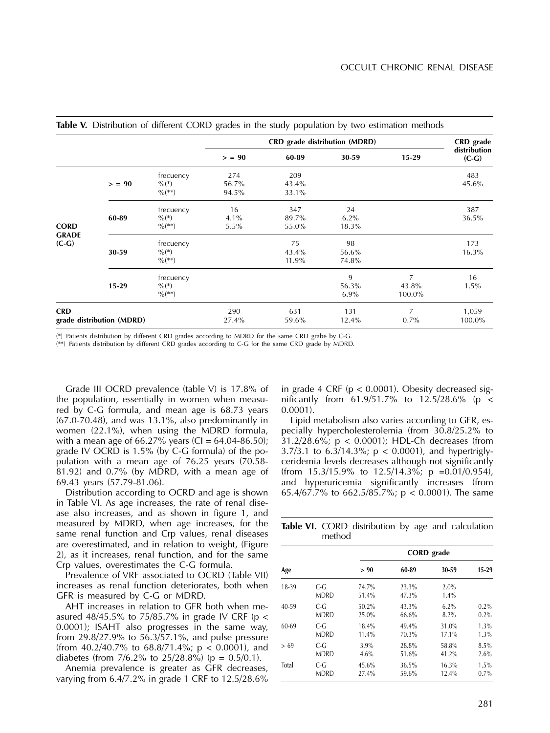|                                         |       |                                                          | CRD grade distribution (MDRD) |                       |                       |                      | CRD grade               |
|-----------------------------------------|-------|----------------------------------------------------------|-------------------------------|-----------------------|-----------------------|----------------------|-------------------------|
|                                         |       |                                                          | > 90                          | 60-89                 | 30-59                 | $15 - 29$            | distribution<br>$(C-G)$ |
|                                         | > 90  | frecuency<br>$\%$ <sup>(*)</sup><br>$\frac{0}{6}$ (**)   | 274<br>56.7%<br>94.5%         | 209<br>43.4%<br>33.1% |                       |                      | 483<br>45.6%            |
| <b>CORD</b><br><b>GRADE</b><br>$(C-G)$  | 60-89 | frecuency<br>$\%$ <sup>(*)</sup><br>$\%$ <sup>**</sup> ) | 16<br>4.1%<br>5.5%            | 347<br>89.7%<br>55.0% | 24<br>6.2%<br>18.3%   |                      | 387<br>36.5%            |
|                                         | 30-59 | frecuency<br>$\%$ <sup>(*)</sup><br>$\%$ <sup>**</sup> ) |                               | 75<br>43.4%<br>11.9%  | 98<br>56.6%<br>74.8%  |                      | 173<br>16.3%            |
|                                         | 15-29 | frecuency<br>$\%$ <sup>(*)</sup><br>$\%$ <sup>**</sup> ) |                               |                       | 9<br>56.3%<br>$6.9\%$ | 7<br>43.8%<br>100.0% | 16<br>1.5%              |
| <b>CRD</b><br>grade distribution (MDRD) |       | 290<br>27.4%                                             | 631<br>59.6%                  | 131<br>12.4%          | 7<br>$0.7\%$          | 1,059<br>100.0%      |                         |

### **Table V.** Distribution of different CORD grades in the study population by two estimation methods

(\*) Patients distribution by different CRD grades according to MDRD for the same CRD grabe by C-G.

(\*\*) Patients distribution by different CRD grades according to C-G for the same CRD grade by MDRD.

Grade III OCRD prevalence (table V) is 17.8% of the population, essentially in women when measured by C-G formula, and mean age is 68.73 years (67.0-70.48), and was 13.1%, also predominantly in women (22.1%), when using the MDRD formula, with a mean age of 66.27% years (CI = 64.04-86.50); grade IV OCRD is 1.5% (by C-G formula) of the population with a mean age of 76.25 years (70.58-  $81.92$ ) and 0.7% (by MDRD, with a mean age of 69.43 years (57.79-81.06).

Distribution according to OCRD and age is shown in Table VI. As age increases, the rate of renal disease also increases, and as shown in figure 1, and measured by MDRD, when age increases, for the same renal function and Crp values, renal diseases are overestimated, and in relation to weight, (Figure 2), as it increases, renal function, and for the same Crp values, overestimates the C-G formula.

Prevalence of VRF associated to OCRD (Table VII) increases as renal function deteriorates, both when GFR is measured by C-G or MDRD.

AHT increases in relation to GFR both when measured 48/45.5% to 75/85.7% in grade IV CRF ( $p <$ 0.0001); ISAHT also progresses in the same way, from 29.8/27.9% to 56.3/57.1%, and pulse pressure (from 40.2/40.7% to 68.8/71.4%;  $p < 0.0001$ ), and diabetes (from  $7/6.2\%$  to  $25/28.8\%$ ) (p = 0.5/0.1).

Anemia prevalence is greater as GFR decreases, varying from 6.4/7.2% in grade 1 CRF to 12.5/28.6% in grade 4 CRF ( $p < 0.0001$ ). Obesity decreased significantly from 61.9/51.7% to 12.5/28.6% (p < 0.0001).

Lipid metabolism also varies according to GFR, especially hypercholesterolemia (from 30.8/25.2% to 31.2/28.6%; p < 0.0001); HDL-Ch decreases (from 3.7/3.1 to  $6.3/14.3\%$ ;  $p < 0.0001$ ), and hypertriglyceridemia levels decreases although not significantly (from  $15.3/15.9\%$  to  $12.5/14.3\%$ ; p =0.01/0.954), and hyperuricemia significantly increases (from 65.4/67.7% to 662.5/85.7%; p < 0.0001). The same

**Table VI.** CORD distribution by age and calculation method

|           |                        |                | <b>CORD</b> grade |              |       |  |  |  |
|-----------|------------------------|----------------|-------------------|--------------|-------|--|--|--|
| Age       |                        | > 90           | 60-89             | 30-59        | 15-29 |  |  |  |
| 18-39     | $C - G$<br><b>MDRD</b> | 74.7%<br>51.4% | 23.3%<br>47.3%    | 2.0%<br>1.4% |       |  |  |  |
| $40 - 59$ | C-G                    | $50.2\%$       | 43.3%             | $6.2\%$      | 0.2%  |  |  |  |
|           | <b>MDRD</b>            | 25.0%          | 66.6%             | 8.2%         | 0.2%  |  |  |  |
| 60-69     | $C - G$                | 18.4%          | $49.4\%$          | 31.0%        | 1.3%  |  |  |  |
|           | <b>MDRD</b>            | 11.4%          | 70.3%             | 17.1%        | 1.3%  |  |  |  |
| >69       | $C - G$                | 3.9%           | 28.8%             | 58.8%        | 8.5%  |  |  |  |
|           | <b>MDRD</b>            | 4.6%           | 51.6%             | 41.2%        | 2.6%  |  |  |  |
| Total     | $C - G$                | 45.6%          | 36.5%             | 16.3%        | 1.5%  |  |  |  |
|           | <b>MDRD</b>            | 27.4%          | 59.6%             | 12.4%        | 0.7%  |  |  |  |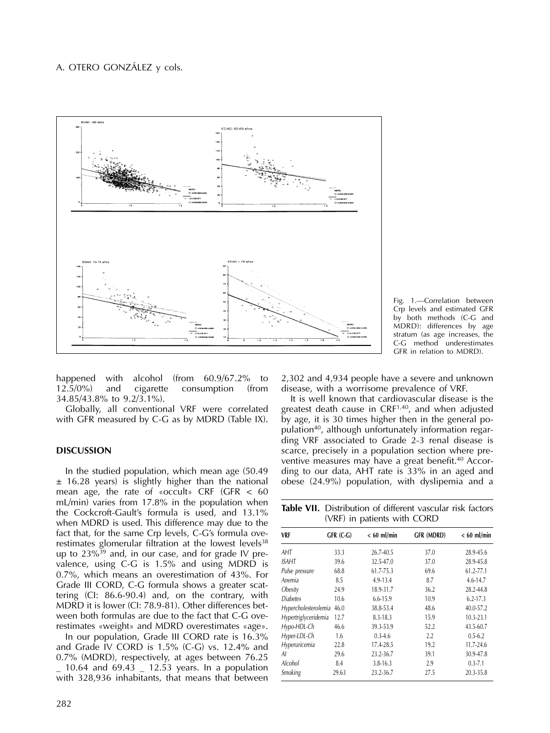



happened with alcohol (from 60.9/67.2% to 12.5/0%) and cigarette consumption (from 34.85/43.8% to 9.2/3.1%).

Globally, all conventional VRF were correlated with GFR measured by C-G as by MDRD (Table IX).

## **DISCUSSION**

In the studied population, which mean age (50.49  $±$  16.28 years) is slightly higher than the national mean age, the rate of «occult» CRF (GFR < 60 mL/min) varies from 17.8% in the population when the Cockcroft-Gault's formula is used, and 13.1% when MDRD is used. This difference may due to the fact that, for the same Crp levels, C-G's formula overestimates glomerular filtration at the lowest levels<sup>38</sup> up to  $23\%^{39}$  and, in our case, and for grade IV prevalence, using C-G is 1.5% and using MDRD is 0.7%, which means an overestimation of 43%. For Grade III CORD, C-G formula shows a greater scattering (CI: 86.6-90.4) and, on the contrary, with MDRD it is lower (CI: 78.9-81). Other differences between both formulas are due to the fact that C-G overestimates «weight» and MDRD overestimates «age».

In our population, Grade III CORD rate is 16.3% and Grade IV CORD is 1.5% (C-G) vs. 12.4% and 0.7% (MDRD), respectively, at ages between 76.25  $-$  10.64 and 69.43  $-$  12.53 years. In a population with 328,936 inhabitants, that means that between

282

2,302 and 4,934 people have a severe and unknown disease, with a worrisome prevalence of VRF.

It is well known that cardiovascular disease is the greatest death cause in CRF<sup>1,40</sup>, and when adjusted by age, it is 30 times higher then in the general population<sup>40</sup>, although unfortunately information regarding VRF associated to Grade 2-3 renal disease is scarce, precisely in a population section where preventive measures may have a great benefit.<sup>40</sup> According to our data, AHT rate is 33% in an aged and obese (24.9%) population, with dyslipemia and a

**Table VII.** Distribution of different vascular risk factors (VRF) in patients with CORD

| VRF                  | GFR (C-G) | $< 60$ ml/min | <b>GFR (MDRD)</b> | $< 60$ ml/min |
|----------------------|-----------|---------------|-------------------|---------------|
| AHT                  | 33.3      | 26.7-40.5     | 37.0              | 28.9-45.6     |
| ISAHT                | 39.6      | 32.5-47.0     | 37.0              | 28.9-45.8     |
| Pulse pressure       | 68.8      | 61.7-75.3     | 69.6              | 61.2-77.1     |
| Anemia               | 8.5       | 4.9-13.4      | 8.7               | 4.6-14.7      |
| Obesity              | 24.9      | 18.9-31.7     | 36.2              | 28.2-44.8     |
| <b>Diabetes</b>      | 10.6      | 6.6-15.9      | 10.9              | $6.2 - 17.3$  |
| Hypercholesterolemia | 46.0      | 38.8-53.4     | 48.6              | 40.0-57.2     |
| Hypertriglyceridemia | 12.7      | 8.3-18.3      | 15.9              | $10.3 - 23.1$ |
| Hypo-HDL-Ch          | 46.6      | 39.3-53.9     | 52.2              | 43.5-60.7     |
| Hyper-LDL-Ch         | 1.6       | $0.3 - 4.6$   | 2.2               | $0.5 - 6.2$   |
| Hyperuricemia        | 22.8      | 17.4-28.5     | 19.2              | 11.7-24.6     |
| Al                   | 29.6      | 23.2-36.7     | 39.1              | 30.9-47.8     |
| Alcohol              | 8.4       | $3.8 - 16.3$  | 2.9               | $0.3 - 7.1$   |
| Smoking              | 29.63     | 23.2-36.7     | 27.5              | 20.3-35.8     |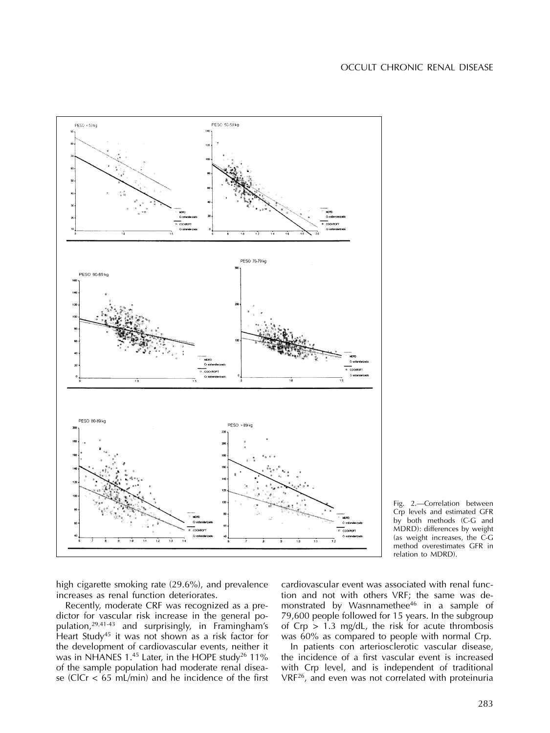

Fig. 2.—Correlation between Crp levels and estimated GFR by both methods (C-G and MDRD): differences by weight (as weight increases, the C-G method overestimates GFR in relation to MDRD).

high cigarette smoking rate (29.6%), and prevalence increases as renal function deteriorates.

Recently, moderate CRF was recognized as a predictor for vascular risk increase in the general population,29,41-43 and surprisingly, in Framingham's Heart Study<sup>45</sup> it was not shown as a risk factor for the development of cardiovascular events, neither it was in NHANES 1.45 Later, in the HOPE study<sup>26</sup> 11% of the sample population had moderate renal disease (ClCr  $\lt$  65 mL/min) and he incidence of the first

cardiovascular event was associated with renal function and not with others VRF; the same was demonstrated by Wasnnamethee<sup>46</sup> in a sample of 79,600 people followed for 15 years. In the subgroup of  $Crp > 1.3$  mg/dL, the risk for acute thrombosis was 60% as compared to people with normal Crp.

In patients con arteriosclerotic vascular disease, the incidence of a first vascular event is increased with Crp level, and is independent of traditional VRF<sup>26</sup>, and even was not correlated with proteinuria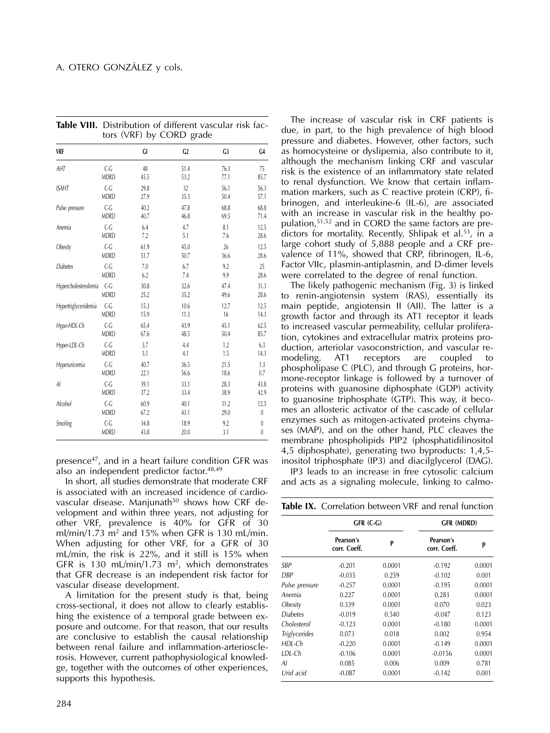|                      | $1013$ (VIM) |      | by cond<br>$5^{\mu}$ |                |              |
|----------------------|--------------|------|----------------------|----------------|--------------|
| <b>VRF</b>           |              | GI   | C <sub>2</sub>       | C <sub>3</sub> | G4           |
| AHT                  | $C - G$      | 48   | 51.4                 | 76.3           | 75           |
|                      | <b>MDRD</b>  | 45.5 | 53.2                 | 77.1           | 85.7         |
| <b>ISAHT</b>         | $C - G$      | 29.8 | 32                   | 56.1           | 56.3         |
|                      | <b>MDRD</b>  | 27.9 | 35.3                 | 50.4           | 57.1         |
| Pulse pressure       | $C - G$      | 40.2 | 47.8                 | 68.8           | 68.8         |
|                      | <b>MDRD</b>  | 40.7 | 46.8                 | 69.5           | 71.4         |
| Anemia               | $C - G$      | 6.4  | 4.7                  | 8.1            | 12.5         |
|                      | <b>MDRD</b>  | 7.2  | 5.1                  | 7.6            | 28.6         |
| Obesity              | $C - G$      | 61.9 | 45.0                 | 26             | 12.5         |
|                      | <b>MDRD</b>  | 51.7 | 50.7                 | 36.6           | 28.6         |
| <b>Diabetes</b>      | $C - G$      | 7.0  | 6.7                  | 9.2            | 25           |
|                      | <b>MDRD</b>  | 6.2  | 7.4                  | 9.9            | 28.6         |
| Hypercholesterolemia | $C - G$      | 30.8 | 32.6                 | 47.4           | 31.3         |
|                      | <b>MDRD</b>  | 25.2 | 35.2                 | 49.6           | 28.6         |
| Hypertriglyceridemia | $C - G$      | 15.3 | 10.6                 | 12.7           | 12.5         |
|                      | <b>MDRD</b>  | 15.9 | 11.3                 | 16             | 14.3         |
| Hypo-HDL-Ch          | $C - G$      | 65.4 | 43.9                 | 45.1           | 62.5         |
|                      | <b>MDRD</b>  | 67.6 | 48.5                 | 50.4           | 85.7         |
| Hyper-LDL-Ch         | $C - G$      | 3.7  | 4.4                  | 1.2            | 6.3          |
|                      | <b>MDRD</b>  | 3.1  | 4.1                  | 1.5            | 14.3         |
| Hyperuricemia        | $C - G$      | 40.7 | 36.5                 | 21.5           | 1.3          |
|                      | <b>MDRD</b>  | 22.1 | 56.6                 | 18.6           | 0.7          |
| Al                   | $C - G$      | 39.1 | 33.1                 | 28.3           | 43.8         |
|                      | <b>MDRD</b>  | 37.2 | 33.4                 | 38.9           | 42.9         |
| Alcohol              | $C - G$      | 60.9 | 40.1                 | 31.2           | 12.5         |
|                      | <b>MDRD</b>  | 67.2 | 43.1                 | 29.0           | $\mathbf{0}$ |
| Smoling              | $C - G$      | 34.8 | 18.9                 | 9.2            | $\theta$     |
|                      | <b>MDRD</b>  | 43.8 | 20.0                 | 3.1            | $\mathbf{0}$ |

**Table VIII.** Distribution of different vascular risk factors (VRF) by CORD grade

presence<sup>47</sup>, and in a heart failure condition GFR was also an independent predictor factor.48,49

In short, all studies demonstrate that moderate CRF is associated with an increased incidence of cardiovascular disease. Manjunath<sup>50</sup> shows how CRF development and within three years, not adjusting for other VRF, prevalence is 40% for GFR of 30 ml/min/1.73  $m^2$  and 15% when GFR is 130 mL/min. When adjusting for other VRF, for a GFR of 30 mL/min, the risk is 22%, and it still is 15% when GFR is 130 mL/min/1.73 m<sup>2</sup>, which demonstrates that GFR decrease is an independent risk factor for vascular disease development.

A limitation for the present study is that, being cross-sectional, it does not allow to clearly establishing the existence of a temporal grade between exposure and outcome. For that reason, that our results are conclusive to establish the causal relationship between renal failure and inflammation-arteriosclerosis. However, current pathophysiological knowledge, together with the outcomes of other experiences, supports this hypothesis.

The increase of vascular risk in CRF patients is due, in part, to the high prevalence of high blood pressure and diabetes. However, other factors, such as homocysteine or dyslipemia, also contribute to it, although the mechanism linking CRF and vascular risk is the existence of an inflammatory state related to renal dysfunction. We know that certain inflammation markers, such as C reactive protein (CRP), fibrinogen, and interleukine-6 (IL-6), are associated with an increase in vascular risk in the healthy population,51,52 and in CORD the same factors are predictors for mortality. Recently, Shlipak et al.<sup>53</sup>, in a large cohort study of 5,888 people and a CRF prevalence of 11%, showed that CRP, fibrinogen, IL-6, Factor VIIc, plasmin-antiplasmin, and D-dimer levels were correlated to the degree of renal function.

The likely pathogenic mechanism (Fig. 3) is linked to renin-angiotensin system (RAS), essentially its main peptide, angiotensin II (AII). The latter is a growth factor and through its AT1 receptor it leads to increased vascular permeability, cellular proliferation, cytokines and extracellular matrix proteins production, arteriolar vasoconstriction, and vascular re-<br>modeling. AT1 receptors are coupled to modeling. AT1 receptors are coupled to phospholipase C (PLC), and through G proteins, hormone-receptor linkage is followed by a turnover of proteins with guanosine diphosphate (GDP) activity to guanosine triphosphate (GTP). This way, it becomes an allosteric activator of the cascade of cellular enzymes such as mitogen-activated proteins chymases (MAP), and on the other hand, PLC cleaves the membrane phospholipids PIP2 (phosphatidilinositol 4,5 diphosphate), generating two byproducts: 1,4,5 inositol triphosphate (IP3) and diacilglycerol (DAG).

IP3 leads to an increase in free cytosolic calcium and acts as a signaling molecule, linking to calmo-

|  |  | Table IX. Correlation between VRF and renal function |  |  |
|--|--|------------------------------------------------------|--|--|
|--|--|------------------------------------------------------|--|--|

|                      | $GFR$ (C-G)               |        | GFR (MDRD)                |        |  |
|----------------------|---------------------------|--------|---------------------------|--------|--|
|                      | Pearson's<br>corr. Coeff. | P      | Pearson's<br>corr. Coeff. | p      |  |
| SBP                  | $-0.201$                  | 0.0001 | $-0.192$                  | 0.0001 |  |
| DBP                  | $-0.035$                  | 0.259  | $-0.102$                  | 0.001  |  |
| Pulse pressure       | $-0.257$                  | 0.0001 | $-0.195$                  | 0.0001 |  |
| Anemia               | 0.227                     | 0.0001 | 0.283                     | 0.0001 |  |
| Obesity              | 0.339                     | 0.0001 | 0.070                     | 0.023  |  |
| <b>Diabetes</b>      | $-0.019$                  | 0.540  | $-0.047$                  | 0.123  |  |
| Cholesterol          | $-0.123$                  | 0.0001 | $-0.180$                  | 0.0001 |  |
| <b>Triglycerides</b> | 0.073                     | 0.018  | 0.002                     | 0.954  |  |
| HDL-Ch               | $-0.220$                  | 0.0001 | $-0.149$                  | 0.0001 |  |
| LDL-Ch               | $-0.106$                  | 0.0001 | $-0.0156$                 | 0.0001 |  |
| ΑI                   | 0.085                     | 0.006  | 0.009                     | 0.781  |  |
| Urid acid            | $-0.087$                  | 0.0001 | $-0.142$                  | 0.001  |  |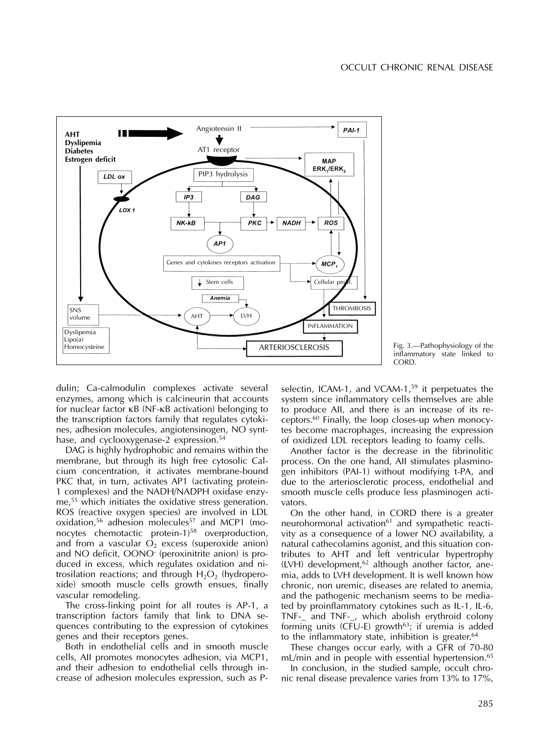

Fig. 3.—Pathophysiology of the inflammatory state linked to **CORD** 

dulin; Ca-calmodulin complexes activate several enzymes, among which is calcineurin that accounts for nuclear factor κB (NF-κB activation) belonging to the transcription factors family that regulates cytokines, adhesion molecules, angiotensinogen, NO synthase, and cyclooxygenase-2 expression.<sup>54</sup>

DAG is highly hydrophobic and remains within the membrane, but through its high free cytosolic Calcium concentration, it activates membrane-bound PKC that, in turn, activates AP1 (activating protein-1 complexes) and the NADH/NADPH oxidase enzyme,<sup>55</sup> which initiates the oxidative stress generation. ROS (reactive oxygen species) are involved in LDL oxidation,<sup>56</sup> adhesion molecules<sup>57</sup> and MCP1 (monocytes chemotactic protein-1) $58$  overproduction, and from a vascular  $O_2$  excess (superoxide anion) and NO deficit, OONO- (peroxinitrite anion) is produced in excess, which regulates oxidation and nitrosilation reactions; and through  $H_2O_2$  (hydroperoxide) smooth muscle cells growth ensues, finally vascular remodeling.

The cross-linking point for all routes is AP-1, a transcription factors family that link to DNA sequences contributing to the expression of cytokines genes and their receptors genes.

Both in endothelial cells and in smooth muscle cells, AII promotes monocytes adhesion, via MCP1, and their adhesion to endothelial cells through increase of adhesion molecules expression, such as P- selectin, ICAM-1, and VCAM-1.<sup>59</sup> it perpetuates the system since inflammatory cells themselves are able to produce AII, and there is an increase of its receptors.<sup>60</sup> Finally, the loop closes-up when monocytes become macrophages, increasing the expression of oxidized LDL receptors leading to foamy cells.

Another factor is the decrease in the fibrinolitic process. On the one hand, AII stimulates plasminogen inhibitors (PAI-1) without modifying t-PA, and due to the arteriosclerotic process, endothelial and smooth muscle cells produce less plasminogen activators.

On the other hand, in CORD there is a greater neurohormonal activation<sup>61</sup> and sympathetic reactivity as a consequence of a lower NO availability, a natural cathecolamins agonist, and this situation contributes to AHT and left ventricular hypertrophy  $(LVH)$  development,<sup>62</sup> although another factor, anemia, adds to LVH development. It is well known how chronic, non uremic, diseases are related to anemia, and the pathogenic mechanism seems to be mediated by proinflammatory cytokines such as IL-1, IL-6, TNF- and TNF-, which abolish erythroid colony forming units (CFU-E) growth $63$ ; if uremia is added to the inflammatory state, inhibition is greater.<sup>64</sup>

These changes occur early, with a GFR of 70-80 mL/min and in people with essential hypertension.<sup>65</sup>

In conclusion, in the studied sample, occult chronic renal disease prevalence varies from 13% to 17%,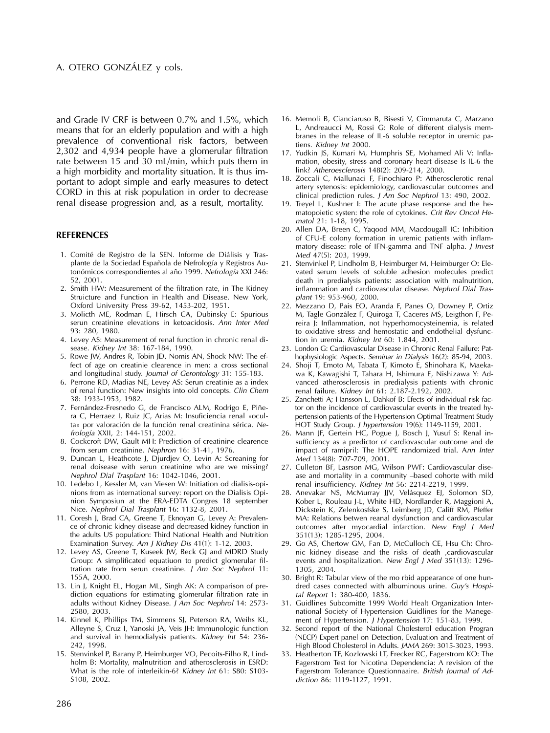and Grade IV CRF is between 0.7% and 1.5%, which means that for an elderly population and with a high prevalence of conventional risk factors, between 2,302 and 4,934 people have a glomerular filtration rate between 15 and 30 mL/min, which puts them in a high morbidity and mortality situation. It is thus important to adopt simple and early measures to detect CORD in this at risk population in order to decrease renal disease progression and, as a result, mortality.

### **REFERENCES**

- 1. Comité de Registro de la SEN. Informe de Diálisis y Trasplante de la Sociedad Española de Nefrología y Registros Autonómicos correspondientes al año 1999. Nefrología XXI 246: 52, 2001.
- 2. Smith HW: Measurement of the filtration rate, in The Kidney Struicture and Function in Health and Disease. New York, Oxford University Press 39-62, 1453-202, 1951.
- 3. Molicth ME, Rodman E, Hirsch CA, Dubinsky E: Spurious serun creatinine elevations in ketoacidosis. Ann Inter Med 93: 280, 1980.
- 4. Levey AS: Measurement of renal function in chronic renal disease. Kidney Int 38: 167-184, 1990.
- 5. Rowe JW, Andres R, Tobin JD, Nomis AN, Shock NW: The effect of age on creatinie clearence in men: a cross sectional and longitudinal study. Journal of Gerontology 31: 155-183.
- 6. Perrone RD, Madias NE, Levey AS: Serun creatinie as a index of renal function: New insights into old concepts. Clin Chem 38: 1933-1953, 1982.
- 7. Fernández-Fresnedo G, de Francisco ALM, Rodrigo E, Piñera C, Herraez I, Ruiz JC, Arias M: Insuficiencia renal »oculta» por valoración de la función renal creatinina sérica. Nefrología XXII, 2: 144-151, 2002.
- 8. Cockcroft DW, Gault MH: Prediction of creatinine clearence from serum creatinine. Nephron 16: 31-41, 1976.
- 9. Duncan L, Heathcote J, Djurdjev O, Levin A: Screaning for renal doisease with serun creatinine who are we missing? Nephrol Dial Trasplant 16: 1042-1046, 2001.
- 10. Ledebo L, Kessler M, van Viesen W: Initiation od dialisis-opinions from as international survey: report on the Dialisis Opinion Symposiun at the ERA-EDTA Congres 18 september Nice. Nephrol Dial Trasplant 16: 1132-8, 2001.
- 11. Coresh J, Brad CA, Greene T, Eknoyan G, Levey A: Prevalence of chronic kidney disease and decreased kidney function in the adults US population: Third National Health and Nutrition Examination Survey. Am J Kidney Dis 41(1): 1-12, 2003.
- 12. Levey AS, Greene T, Kuseek JW, Beck GJ and MDRD Study Group: A simplificated equatiuon to predict glomerular filtration rate from serun creatinine. J Am Soc Nephrol 11: 155A, 2000.
- 13. Lin J, Knight EL, Hogan ML, Singh AK: A comparison of prediction equations for estimating glomerular filtration rate in adults without Kidney Disease. J Am Soc Nephrol 14: 2573-2580, 2003.
- 14. Kinnel K, Phillips TM, Simmens SJ, Peterson RA, Weihs KL, Alleyne S, Cruz I, Yanoski JA, Veis JH: Immunologic function and survival in hemodialysis patients. Kidney Int 54: 236- 242, 1998.
- 15. Stenvinkel P, Barany P, Heimburger VO, Pecoits-Filho R, Lindholm B: Mortality, malnutrition and atherosclerosis in ESRD: What is the role of interleikin-6? Kidney Int 61: S80: S103- S108, 2002.
- 16. Memoli B, Cianciaruso B, Bisesti V, Cimmaruta C, Marzano L, Andreaucci M, Rossi G: Role of different dialysis membranes in the release of IL-6 soluble receptor in uremic patiens. Kidney Int 2000.
- 17. Yudkin JS, Kumari M, Humphris SE, Mohamed Ali V: Inflamation, obesity, stress and coronary heart disease Is IL-6 the link? Atheroesclerosis 148(2): 209-214, 2000.
- 18. Zoccali C, Mallunaci F, Finochiaro P: Atherosclerotic renal artery sytenosis: epidemiology, cardiovascular outcomes and clinical prediction rules. J Am Soc Nephrol 13: 490, 2002.
- 19. Treyel L, Kushner I: The acute phase response and the hematopoietic systen: the role of cytokines. Crit Rev Oncol Hematol 21: 1-18, 1995.
- 20. Allen DA, Breen C, Yaqood MM, Macdougall IC: Inhibition of CFU-E colony formation in uremic patients with inflammatory disease: role of IFN-gamma and TNF alpha. J Invest Med 47(5): 203, 1999.
- 21. Stenvinkel P, Lindholm B, Heimburger M, Heimburger O: Elevated serum levels of soluble adhesion molecules predict death in predialysis patients: association with malnutrition, inflammation and cardiovascular disease. Nephrol Dial Trasplant 19: 953-960, 2000.
- 22. Mezzano D, Pais EO, Aranda F, Panes O, Downey P, Ortiz M, Tagle González F, Quiroga T, Caceres MS, Leigthon F, Pereira J: Inflammation, not hyperhomocysteinemia, is related to oxidative stress and hemostatic and endothelial dysfunction in uremia. Kidney Int 60: 1.844, 2001.
- 23. London G: Cardiovascular Disease in Chronic Renal Failure: Pathophysiologic Aspects. Seminar in Dialysis 16(2): 85-94, 2003.
- 24. Shoji T, Emoto M, Tabata T, Kimoto E, Shinohara K, Maekawa K, Kawagishi T, Tahara H, Ishimura E, Nishizawa Y: Advanced atherosclerosis in predialysis patients with chronic renal failure. Kidney Int 61: 2.187-2.192, 2002.
- 25. Zanchetti A; Hansson L, Dahkof B: Efects of individual risk factor on the incidence of cardiovascular events in the treated hypertension patients of the Hypertension Optimal Treatment Study HOT Study Group. J hypertension 19(6): 1149-1159, 2001.
- 26. Mann JF, Gertein HC, Pogue J, Bosch J, Yusuf S: Renal insufficiency as a predictor of cardiovascular outcome and de impact of ramipril: The HOPE randomized trial. Ann Inter Med 134(8): 707-709, 2001.
- 27. Culleton BF, Lasrson MG, Wilson PWF: Cardiovascular disease and mortality in a community –based cohorte with mild renal insufficiency. Kidney Int 56: 2214-2219, 1999.
- 28. Anevakar NS, McMurray JJV, Velásquez EJ, Solomon SD, Kober L, Rouleau J-L, White HD, Nordlander R, Maggioni A, Dickstein K, Zelenkosfske S, Leimberg JD, Califf RM, Pfeffer MA: Relations betwen reanal dysfunction and cardiovascular outcomes after myocardial infarction. New Engl J Med 351(13): 1285-1295, 2004.
- 29. Go AS, Chertow GM, Fan D, McCulloch CE, Hsu Ch: Chronic kidney disease and the risks of death ,cardiovascular events and hospitalization. New Engl J Med 351(13): 1296- 1305, 2004.
- 30. Bright R: Tabular view of the mo rbid appearance of one hundred cases connected with albuminous urine. Guy's Hospital Report 1: 380-400, 1836.
- 31. Guidlines Subcomitte 1999 World Healt Organization International Society of Hypertension Guidlines for the Manegement of Hypertension. *J Hypertension* 17: 151-83, 1999.
- 32. Second report of the National Cholesterol education Progran (NECP) Expert panel on Detection, Evaluation and Treatment of High Blood Cholesterol in Adults. JAMA 269: 3015-3023, 1993.
- 33. Heatherton TF, Kozlowski LT, Frecker RC, Fagerstrom KO: The Fagerstrom Test for Nicotina Dependencia: A revision of the Fagerstrom Tolerance Questionnaaire. British Journal of Addiction 86: 1119-1127, 1991.